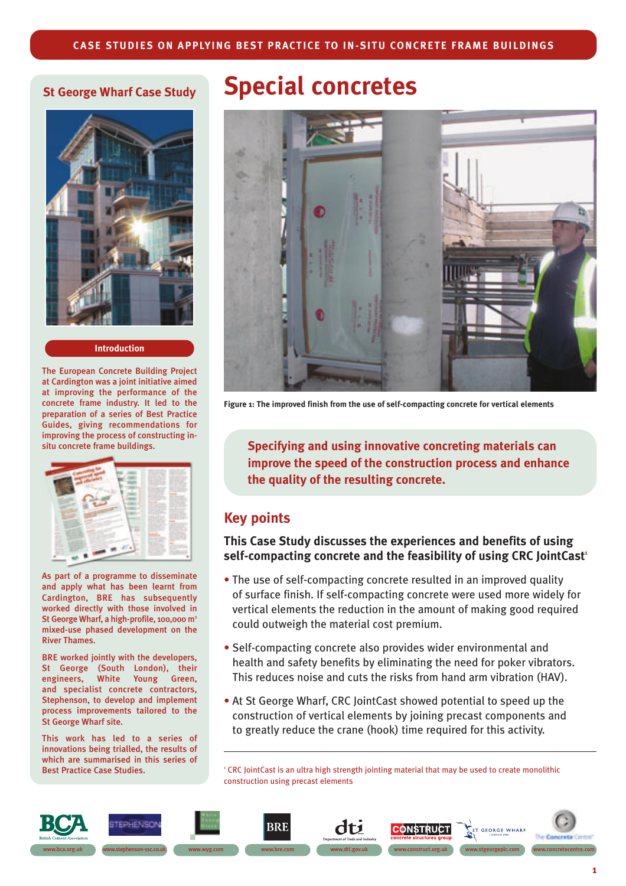## **St George Wharf Case Study**



#### **Introduction**

The European Concrete Building Project at Cardington was a joint initiative aimed at improving the performance of the concrete frame industry. It led to the preparation of a series of Best Practice Guides, giving recommendations for improving the process of constructing insitu concrete frame buildings.



As part of a programme to disseminate and apply what has been learnt from Cardington, BRE has subsequently worked directly with those involved in St George Wharf, a high-profile, 100,000 m<sup>2</sup> mixed-use phased development on the River Thames.

BRE worked jointly with the developers, St George (South London), their engineers, White Young Green, and specialist concrete contractors, Stephenson, to develop and implement process improvements tailored to the St George Wharf site.

This work has led to a series of innovations being trialled, the results of which are summarised in this series of Best Practice Case Studies.

# **Special concretes**



**Figure 1: The improved finish from the use of self-compacting concrete for vertical elements**

**Specifying and using innovative concreting materials can improve the speed of the construction process and enhance the quality of the resulting concrete.** 

## **Key points**

**This Case Study discusses the experiences and benefits of using** self-compacting concrete and the feasibility of using CRC JointCast<sup>1</sup>

- The use of self-compacting concrete resulted in an improved quality of surface finish. If self-compacting concrete were used more widely for vertical elements the reduction in the amount of making good required could outweigh the material cost premium.
- Self-compacting concrete also provides wider environmental and health and safety benefits by eliminating the need for poker vibrators. This reduces noise and cuts the risks from hand arm vibration (HAV).
- At St George Wharf, CRC JointCast showed potential to speed up the construction of vertical elements by joining precast components and to greatly reduce the crane (hook) time required for this activity.

<sup>1</sup> CRC JointCast is an ultra high strength jointing material that may be used to create monolithic construction using precast elements

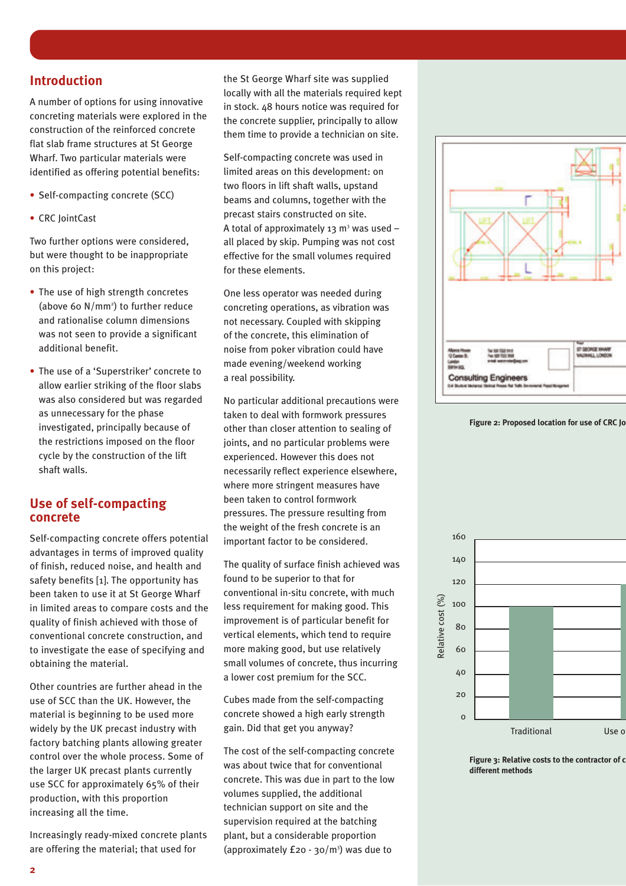# **Introduction**

A number of options for using innovative concreting materials were explored in the construction of the reinforced concrete flat slab frame structures at St George Wharf. Two particular materials were identified as offering potential benefits:

- Self-compacting concrete (SCC)
- CRC JointCast

Two further options were considered, but were thought to be inappropriate on this project:

- The use of high strength concretes (above 60  $N/mm^2$ ) to further reduce and rationalise column dimensions was not seen to provide a significant additional benefit.
- The use of a 'Superstriker' concrete to allow earlier striking of the floor slabs was also considered but was regarded as unnecessary for the phase investigated, principally because of the restrictions imposed on the floor cycle by the construction of the lift shaft walls.

# **Use of self-compacting concrete**

Self-compacting concrete offers potential advantages in terms of improved quality of finish, reduced noise, and health and safety benefits [1]. The opportunity has been taken to use it at St George Wharf in limited areas to compare costs and the quality of finish achieved with those of conventional concrete construction, and to investigate the ease of specifying and obtaining the material.

Other countries are further ahead in the use of SCC than the UK. However, the material is beginning to be used more widely by the UK precast industry with factory batching plants allowing greater control over the whole process. Some of the larger UK precast plants currently use SCC for approximately 65% of their production, with this proportion increasing all the time.

Increasingly ready-mixed concrete plants are offering the material; that used for

the St George Wharf site was supplied locally with all the materials required kept in stock. 48 hours notice was required for the concrete supplier, principally to allow them time to provide a technician on site.

Self-compacting concrete was used in limited areas on this development: on two floors in lift shaft walls, upstand beams and columns, together with the precast stairs constructed on site. A total of approximately 13  $m<sup>3</sup>$  was used – all placed by skip. Pumping was not cost effective for the small volumes required for these elements.

One less operator was needed during concreting operations, as vibration was not necessary. Coupled with skipping of the concrete, this elimination of noise from poker vibration could have made evening/weekend working a real possibility.

No particular additional precautions were taken to deal with formwork pressures other than closer attention to sealing of joints, and no particular problems were experienced. However this does not necessarily reflect experience elsewhere, where more stringent measures have been taken to control formwork pressures. The pressure resulting from the weight of the fresh concrete is an important factor to be considered.

The quality of surface finish achieved was found to be superior to that for conventional in-situ concrete, with much less requirement for making good. This improvement is of particular benefit for vertical elements, which tend to require more making good, but use relatively small volumes of concrete, thus incurring a lower cost premium for the SCC.

Cubes made from the self-compacting concrete showed a high early strength gain. Did that get you anyway?

The cost of the self-compacting concrete was about twice that for conventional concrete. This was due in part to the low volumes supplied, the additional technician support on site and the supervision required at the batching plant, but a considerable proportion (approximately  $f_2o - 30/m^3$ ) was due to







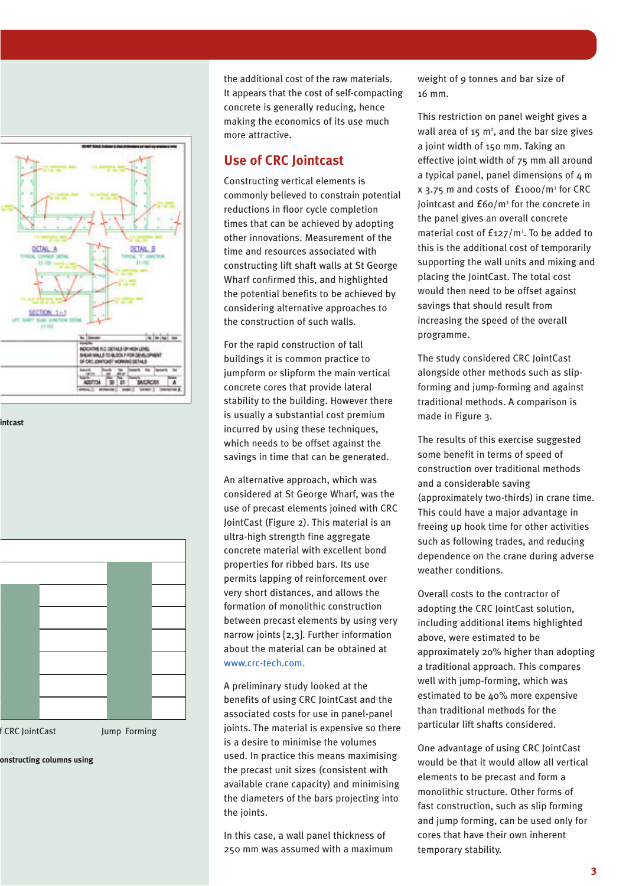

#### **intcast**



**onstructing columns using**

the additional cost of the raw materials. It appears that the cost of self-compacting concrete is generally reducing, hence making the economics of its use much more attractive.

## **Use of CRC Jointcast**

Constructing vertical elements is commonly believed to constrain potential reductions in floor cycle completion times that can be achieved by adopting other innovations. Measurement of the time and resources associated with constructing lift shaft walls at St George Wharf confirmed this, and highlighted the potential benefits to be achieved by considering alternative approaches to the construction of such walls.

For the rapid construction of tall buildings it is common practice to jumpform or slipform the main vertical concrete cores that provide lateral stability to the building. However there is usually a substantial cost premium incurred by using these techniques, which needs to be offset against the savings in time that can be generated.

An alternative approach, which was considered at St George Wharf, was the use of precast elements joined with CRC JointCast (Figure 2). This material is an ultra-high strength fine aggregate concrete material with excellent bond properties for ribbed bars. Its use permits lapping of reinforcement over very short distances, and allows the formation of monolithic construction between precast elements by using very narrow joints [2,3]. Further information about the material can be obtained at www.crc-tech.com.

A preliminary study looked at the benefits of using CRC JointCast and the associated costs for use in panel-panel joints. The material is expensive so there is a desire to minimise the volumes used. In practice this means maximising the precast unit sizes (consistent with available crane capacity) and minimising the diameters of the bars projecting into the joints.

In this case, a wall panel thickness of 250 mm was assumed with a maximum weight of 9 tonnes and bar size of 16 mm.

This restriction on panel weight gives a wall area of 15  $m^2$ , and the bar size gives a joint width of 150 mm. Taking an effective joint width of 75 mm all around a typical panel, panel dimensions of 4 m x 3.75 m and costs of £1000/m3 for CRC Jointcast and £60/m3 for the concrete in the panel gives an overall concrete material cost of  $f_{127}/m^3$ . To be added to this is the additional cost of temporarily supporting the wall units and mixing and placing the JointCast. The total cost would then need to be offset against savings that should result from increasing the speed of the overall programme.

The study considered CRC JointCast alongside other methods such as slipforming and jump-forming and against traditional methods. A comparison is made in Figure 3.

The results of this exercise suggested some benefit in terms of speed of construction over traditional methods and a considerable saving (approximately two-thirds) in crane time. This could have a major advantage in freeing up hook time for other activities such as following trades, and reducing dependence on the crane during adverse weather conditions.

Overall costs to the contractor of adopting the CRC JointCast solution, including additional items highlighted above, were estimated to be approximately 20% higher than adopting a traditional approach. This compares well with jump-forming, which was estimated to be 40% more expensive than traditional methods for the particular lift shafts considered.

One advantage of using CRC JointCast would be that it would allow all vertical elements to be precast and form a monolithic structure. Other forms of fast construction, such as slip forming and jump forming, can be used only for cores that have their own inherent temporary stability.